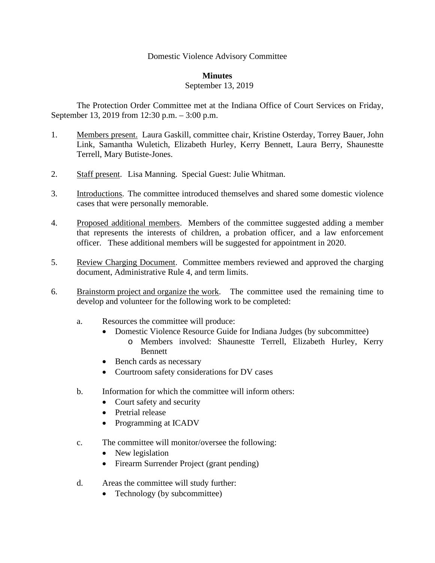## Domestic Violence Advisory Committee

## **Minutes**

## September 13, 2019

The Protection Order Committee met at the Indiana Office of Court Services on Friday, September 13, 2019 from 12:30 p.m. – 3:00 p.m.

- 1. Members present. Laura Gaskill, committee chair, Kristine Osterday, Torrey Bauer, John Link, Samantha Wuletich, Elizabeth Hurley, Kerry Bennett, Laura Berry, Shaunestte Terrell, Mary Butiste-Jones.
- 2. Staff present. Lisa Manning. Special Guest: Julie Whitman.
- 3. Introductions. The committee introduced themselves and shared some domestic violence cases that were personally memorable.
- 4. Proposed additional members. Members of the committee suggested adding a member that represents the interests of children, a probation officer, and a law enforcement officer. These additional members will be suggested for appointment in 2020.
- 5. Review Charging Document. Committee members reviewed and approved the charging document, Administrative Rule 4, and term limits.
- 6. Brainstorm project and organize the work. The committee used the remaining time to develop and volunteer for the following work to be completed:
	- a. Resources the committee will produce:
		- Domestic Violence Resource Guide for Indiana Judges (by subcommittee)
			- o Members involved: Shaunestte Terrell, Elizabeth Hurley, Kerry **Bennett**
		- Bench cards as necessary
		- Courtroom safety considerations for DV cases
	- b. Information for which the committee will inform others:
		- Court safety and security
		- Pretrial release
		- Programming at ICADV
	- c. The committee will monitor/oversee the following:
		- New legislation
		- Firearm Surrender Project (grant pending)
	- d. Areas the committee will study further:
		- Technology (by subcommittee)